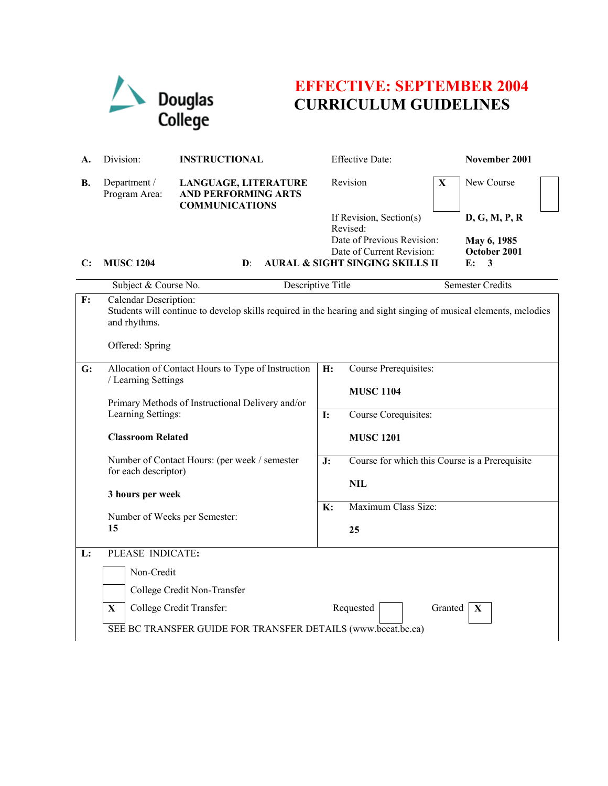

## **EFFECTIVE: SEPTEMBER 2004 CURRICULUM GUIDELINES**

| А.                                                           | Division:                                                                                                                                                                                                                                                                                                           | <b>INSTRUCTIONAL</b>                                                        | <b>Effective Date:</b>                                            | November 2001                |  |  |
|--------------------------------------------------------------|---------------------------------------------------------------------------------------------------------------------------------------------------------------------------------------------------------------------------------------------------------------------------------------------------------------------|-----------------------------------------------------------------------------|-------------------------------------------------------------------|------------------------------|--|--|
| В.                                                           | Department /<br>Program Area:                                                                                                                                                                                                                                                                                       | LANGUAGE, LITERATURE<br><b>AND PERFORMING ARTS</b><br><b>COMMUNICATIONS</b> | Revision                                                          | New Course<br>X              |  |  |
|                                                              |                                                                                                                                                                                                                                                                                                                     |                                                                             | If Revision, Section(s)<br>Revised:<br>Date of Previous Revision: | D, G, M, P, R<br>May 6, 1985 |  |  |
|                                                              |                                                                                                                                                                                                                                                                                                                     |                                                                             | Date of Current Revision:                                         | October 2001                 |  |  |
| $\mathbf{C}$ :                                               | <b>MUSC 1204</b>                                                                                                                                                                                                                                                                                                    | $\mathbf{D}$ :                                                              | <b>AURAL &amp; SIGHT SINGING SKILLS II</b>                        | $\mathbf{F}$ :<br>3          |  |  |
|                                                              | Subject & Course No.                                                                                                                                                                                                                                                                                                |                                                                             | Descriptive Title                                                 | <b>Semester Credits</b>      |  |  |
| F:                                                           | Calendar Description:<br>Students will continue to develop skills required in the hearing and sight singing of musical elements, melodies<br>and rhythms.<br>Offered: Spring                                                                                                                                        |                                                                             |                                                                   |                              |  |  |
| G:                                                           | Allocation of Contact Hours to Type of Instruction<br>/ Learning Settings<br>Primary Methods of Instructional Delivery and/or<br>Learning Settings:<br><b>Classroom Related</b><br>Number of Contact Hours: (per week / semester<br>for each descriptor)<br>3 hours per week<br>Number of Weeks per Semester:<br>15 |                                                                             | Course Prerequisites:<br>H:<br><b>MUSC 1104</b>                   |                              |  |  |
|                                                              |                                                                                                                                                                                                                                                                                                                     |                                                                             | <b>I:</b><br>Course Corequisites:                                 |                              |  |  |
|                                                              |                                                                                                                                                                                                                                                                                                                     |                                                                             | <b>MUSC 1201</b>                                                  |                              |  |  |
|                                                              |                                                                                                                                                                                                                                                                                                                     |                                                                             | Course for which this Course is a Prerequisite<br>J:              |                              |  |  |
|                                                              |                                                                                                                                                                                                                                                                                                                     |                                                                             | <b>NIL</b>                                                        |                              |  |  |
|                                                              |                                                                                                                                                                                                                                                                                                                     |                                                                             | Maximum Class Size:<br>$\mathbf{K}$ :<br>25                       |                              |  |  |
| L:                                                           | PLEASE INDICATE:                                                                                                                                                                                                                                                                                                    |                                                                             |                                                                   |                              |  |  |
|                                                              | Non-Credit                                                                                                                                                                                                                                                                                                          |                                                                             |                                                                   |                              |  |  |
|                                                              |                                                                                                                                                                                                                                                                                                                     | College Credit Non-Transfer                                                 |                                                                   |                              |  |  |
|                                                              | $\mathbf X$                                                                                                                                                                                                                                                                                                         | College Credit Transfer:                                                    | Requested                                                         | Granted<br>$\mathbf X$       |  |  |
| SEE BC TRANSFER GUIDE FOR TRANSFER DETAILS (www.bccat.bc.ca) |                                                                                                                                                                                                                                                                                                                     |                                                                             |                                                                   |                              |  |  |